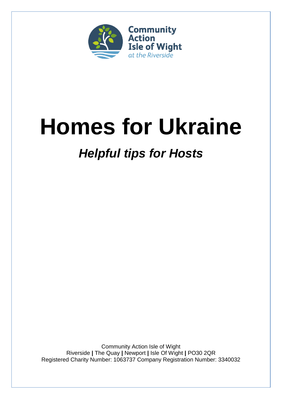

# **Homes for Ukraine**

# *Helpful tips for Hosts*

Community Action Isle of Wight Riverside **|** The Quay **|** Newport **|** Isle Of Wight **|** PO30 2QR Registered Charity Number: 1063737 Company Registration Number: 3340032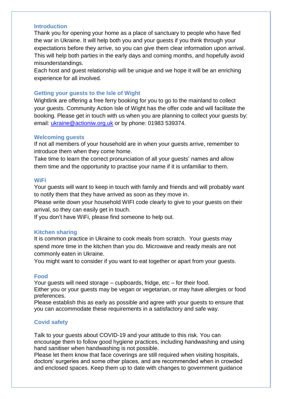#### **Introduction**

Thank you for opening your home as a place of sanctuary to people who have fled the war in Ukraine. It will help both you and your guests if you think through your expectations before they arrive, so you can give them clear information upon arrival. This will help both parties in the early days and coming months, and hopefully avoid misunderstandings.

Each host and guest relationship will be unique and we hope it will be an enriching experience for all involved.

# **Getting your guests to the Isle of Wight**

Wightlink are offering a free ferry booking for you to go to the mainland to collect your guests. Community Action Isle of Wight has the offer code and will facilitate the booking. Please get in touch with us when you are planning to collect your guests by: email: [ukraine@actioniw.org.uk](mailto:ukraine@actioniw.org.uk) or by phone: 01983 539374.

# **Welcoming guests**

If not all members of your household are in when your guests arrive, remember to introduce them when they come home.

Take time to learn the correct pronunciation of all your guests' names and allow them time and the opportunity to practise your name if it is unfamiliar to them.

#### **WiFi**

Your guests will want to keep in touch with family and friends and will probably want to notify them that they have arrived as soon as they move in.

Please write down your household WIFI code clearly to give to your guests on their arrival, so they can easily get in touch.

If you don't have WiFi, please find someone to help out.

# **Kitchen sharing**

It is common practice in Ukraine to cook meals from scratch. Your guests may spend more time in the kitchen than you do. Microwave and ready meals are not commonly eaten in Ukraine.

You might want to consider if you want to eat together or apart from your guests.

# **Food**

Your guests will need storage – cupboards, fridge, etc – for their food. Either you or your guests may be vegan or vegetarian, or may have allergies or food preferences.

Please establish this as early as possible and agree with your guests to ensure that you can accommodate these requirements in a satisfactory and safe way.

# **Covid safety**

Talk to your guests about COVID-19 and your attitude to this risk. You can encourage them to follow good hygiene practices, including handwashing and using hand sanitiser when handwashing is not possible.

Please let them know that face coverings are still required when visiting hospitals, doctors' surgeries and some other places, and are recommended when in crowded and enclosed spaces. Keep them up to date with changes to government guidance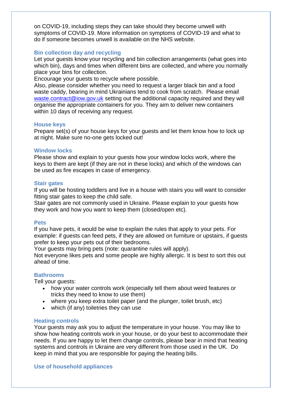on COVID-19, including steps they can take should they become unwell with symptoms of COVID-19. More information on symptoms of COVID-19 and what to do if someone becomes unwell is available on the NHS website.

#### **Bin collection day and recycling**

Let your guests know your recycling and bin collection arrangements (what goes into which bin), days and times when different bins are collected, and where you normally place your bins for collection.

Encourage your guests to recycle where possible.

Also, please consider whether you need to request a larger black bin and a food waste caddy, bearing in mind Ukrainians tend to cook from scratch. Please email [waste.contract@iow.gov.uk](mailto:waste.contract@iow.gov.uk) setting out the additional capacity required and they will organise the appropriate containers for you. They aim to deliver new containers within 10 days of receiving any request.

#### **House keys**

Prepare set(s) of your house keys for your guests and let them know how to lock up at night. Make sure no-one gets locked out!

#### **Window locks**

Please show and explain to your guests how your window locks work, where the keys to them are kept (if they are not in these locks) and which of the windows can be used as fire escapes in case of emergency.

#### **Stair gates**

If you will be hosting toddlers and live in a house with stairs you will want to consider fitting stair gates to keep the child safe.

Stair gates are not commonly used in Ukraine. Please explain to your guests how they work and how you want to keep them (closed/open etc).

#### **Pets**

If you have pets, it would be wise to explain the rules that apply to your pets. For example: if guests can feed pets, if they are allowed on furniture or upstairs, if guests prefer to keep your pets out of their bedrooms.

Your guests may bring pets (note: quarantine rules will apply).

Not everyone likes pets and some people are highly allergic. It is best to sort this out ahead of time.

# **Bathrooms**

Tell your guests:

- how your water controls work (especially tell them about weird features or tricks they need to know to use them)
- where you keep extra toilet paper (and the plunger, toilet brush, etc)
- which (if any) toiletries they can use

# **Heating controls**

Your guests may ask you to adjust the temperature in your house. You may like to show how heating controls work in your house, or do your best to accommodate their needs. If you are happy to let them change controls, please bear in mind that heating systems and controls in Ukraine are very different from those used in the UK. Do keep in mind that you are responsible for paying the heating bills.

#### **Use of household appliances**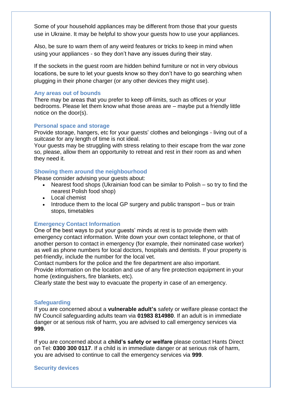Some of your household appliances may be different from those that your guests use in Ukraine. It may be helpful to show your guests how to use your appliances.

Also, be sure to warn them of any weird features or tricks to keep in mind when using your appliances - so they don't have any issues during their stay.

If the sockets in the guest room are hidden behind furniture or not in very obvious locations, be sure to let your guests know so they don't have to go searching when plugging in their phone charger (or any other devices they might use).

#### **Any areas out of bounds**

There may be areas that you prefer to keep off-limits, such as offices or your bedrooms. Please let them know what those areas are – maybe put a friendly little notice on the door(s).

#### **Personal space and storage**

Provide storage, hangers, etc for your guests' clothes and belongings - living out of a suitcase for any length of time is not ideal.

Your guests may be struggling with stress relating to their escape from the war zone so, please, allow them an opportunity to retreat and rest in their room as and when they need it.

# **Showing them around the neighbourhood**

Please consider advising your guests about:

- Nearest food shops (Ukrainian food can be similar to Polish so try to find the nearest Polish food shop)
- Local chemist
- Introduce them to the local GP surgery and public transport bus or train stops, timetables

# **Emergency Contact Information**

One of the best ways to put your guests' minds at rest is to provide them with emergency contact information. Write down your own contact telephone, or that of another person to contact in emergency (for example, their nominated case worker) as well as phone numbers for local doctors, hospitals and dentists. If your property is pet-friendly, include the number for the local vet.

Contact numbers for the police and the fire department are also important. Provide information on the location and use of any fire protection equipment in your home (extinguishers, fire blankets, etc).

Clearly state the best way to evacuate the property in case of an emergency.

#### **Safeguarding**

If you are concerned about a **vulnerable adult's** safety or welfare please contact the IW Council safeguarding adults team via **01983 814980**. If an adult is in immediate danger or at serious risk of harm, you are advised to call emergency services via **999.**

If you are concerned about a **child's safety or welfare** please contact Hants Direct on Tel: **0300 300 0117**. If a child is in immediate danger or at serious risk of harm, you are advised to continue to call the emergency services via **999**.

#### **Security devices**